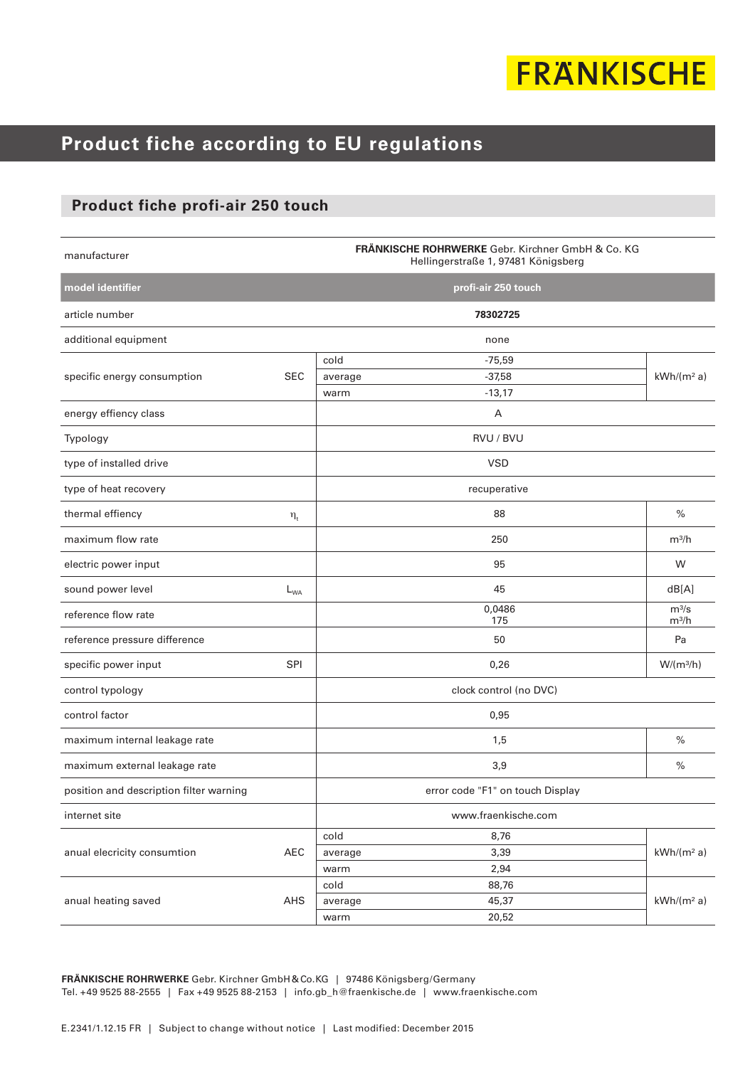# **FRANKISCHE**

### **Product fiche according to EU regulations**

#### **Product fiche profi-air 250 touch**

| manufacturer                            |            | FRÄNKISCHE ROHRWERKE Gebr. Kirchner GmbH & Co. KG<br>Hellingerstraße 1, 97481 Königsberg |                     |                        |  |  |  |
|-----------------------------------------|------------|------------------------------------------------------------------------------------------|---------------------|------------------------|--|--|--|
| model identifier                        |            |                                                                                          | profi-air 250 touch |                        |  |  |  |
| article number                          |            |                                                                                          | 78302725            |                        |  |  |  |
| additional equipment                    |            |                                                                                          | none                |                        |  |  |  |
| specific energy consumption             |            | cold                                                                                     | $-75,59$            |                        |  |  |  |
|                                         | <b>SEC</b> | average                                                                                  | $-37,58$            | kWh/(m <sup>2</sup> a) |  |  |  |
|                                         |            | warm                                                                                     | $-13,17$            |                        |  |  |  |
| energy effiency class                   |            |                                                                                          | A                   |                        |  |  |  |
| Typology                                |            |                                                                                          | RVU / BVU           |                        |  |  |  |
| type of installed drive                 |            |                                                                                          | <b>VSD</b>          |                        |  |  |  |
| type of heat recovery                   |            |                                                                                          | recuperative        |                        |  |  |  |
| thermal effiency                        | $\eta_t$   |                                                                                          | 88                  | $\%$                   |  |  |  |
| maximum flow rate                       |            |                                                                                          | 250                 | $m^3/h$                |  |  |  |
| electric power input                    |            |                                                                                          | 95                  | W                      |  |  |  |
| sound power level                       | $L_{WA}$   |                                                                                          | 45                  | dB[A]                  |  |  |  |
| reference flow rate                     |            |                                                                                          | 0,0486<br>175       | $m^3/s$<br>$m^3/h$     |  |  |  |
| reference pressure difference           |            |                                                                                          | 50                  | Pa                     |  |  |  |
| specific power input                    | SPI        |                                                                                          | 0,26                | $W/(m^3/h)$            |  |  |  |
| control typology                        |            | clock control (no DVC)                                                                   |                     |                        |  |  |  |
| control factor                          |            |                                                                                          | 0,95                |                        |  |  |  |
| maximum internal leakage rate           |            |                                                                                          | 1,5                 | $\frac{0}{0}$          |  |  |  |
| maximum external leakage rate           |            |                                                                                          | 3,9                 | $\%$                   |  |  |  |
| position and description filter warning |            | error code "F1" on touch Display                                                         |                     |                        |  |  |  |
| internet site                           |            |                                                                                          | www.fraenkische.com |                        |  |  |  |
| anual elecricity consumtion             | AEC        | cold                                                                                     | 8,76                |                        |  |  |  |
|                                         |            | average                                                                                  | 3,39                | $kWh/(m^2 a)$          |  |  |  |
|                                         |            | warm                                                                                     | 2,94                |                        |  |  |  |
| anual heating saved                     | AHS        | cold                                                                                     | 88,76               |                        |  |  |  |
|                                         |            | average<br>warm                                                                          | 45,37<br>20,52      | $kWh/(m^2 a)$          |  |  |  |
|                                         |            |                                                                                          |                     |                        |  |  |  |

**FRÄNKISCHE ROHRWERKE** Gebr. Kirchner GmbH&Co.KG | 97486 Königsberg/Germany Tel. +49 9525 88-2555 | Fax +49 9525 88-2153 | info.gb\_h@fraenkische.de | www.fraenkische.com